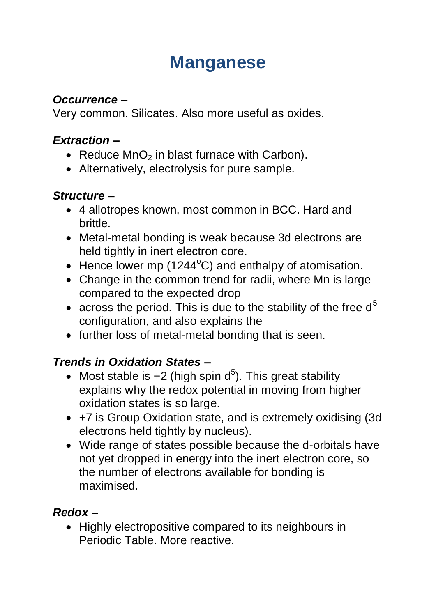# **Manganese**

### *Occurrence –*

Very common. Silicates. Also more useful as oxides.

### *Extraction –*

- Reduce  $MnO<sub>2</sub>$  in blast furnace with Carbon).
- Alternatively, electrolysis for pure sample.

### *Structure –*

- 4 allotropes known, most common in BCC. Hard and brittle.
- Metal-metal bonding is weak because 3d electrons are held tightly in inert electron core.
- $\bullet$  Hence lower mp (1244 $\degree$ C) and enthalpy of atomisation.
- Change in the common trend for radii, where Mn is large compared to the expected drop
- across the period. This is due to the stability of the free  $d^5$ configuration, and also explains the
- further loss of metal-metal bonding that is seen.

# *Trends in Oxidation States –*

- Most stable is  $+2$  (high spin  $d^5$ ). This great stability explains why the redox potential in moving from higher oxidation states is so large.
- +7 is Group Oxidation state, and is extremely oxidising (3d electrons held tightly by nucleus).
- Wide range of states possible because the d-orbitals have not yet dropped in energy into the inert electron core, so the number of electrons available for bonding is maximised.

### *Redox –*

• Highly electropositive compared to its neighbours in Periodic Table. More reactive.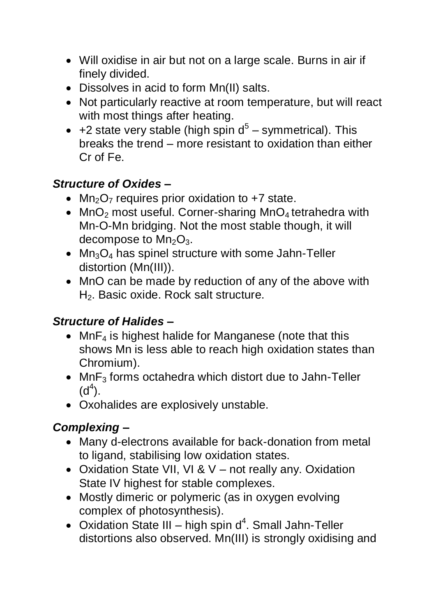- Will oxidise in air but not on a large scale. Burns in air if finely divided.
- Dissolves in acid to form Mn(II) salts.
- Not particularly reactive at room temperature, but will react with most things after heating.
- +2 state very stable (high spin  $d^5$  symmetrical). This breaks the trend – more resistant to oxidation than either Cr of Fe.

# *Structure of Oxides –*

- Mn<sub>2</sub>O<sub>7</sub> requires prior oxidation to  $+7$  state.
- MnO<sub>2</sub> most useful. Corner-sharing  $MnO<sub>4</sub>$  tetrahedra with Mn-O-Mn bridging. Not the most stable though, it will decompose to  $Mn<sub>2</sub>O<sub>3</sub>$ .
- $Mn<sub>3</sub>O<sub>4</sub>$  has spinel structure with some Jahn-Teller distortion (Mn(III)).
- MnO can be made by reduction of any of the above with H<sub>2</sub>. Basic oxide. Rock salt structure.

### *Structure of Halides –*

- MnF<sub>4</sub> is highest halide for Manganese (note that this shows Mn is less able to reach high oxidation states than Chromium).
- $\bullet$  MnF<sub>3</sub> forms octahedra which distort due to Jahn-Teller  $(d<sup>4</sup>)$ .
- Oxohalides are explosively unstable.

# *Complexing –*

- Many d-electrons available for back-donation from metal to ligand, stabilising low oxidation states.
- Oxidation State VII, VI & V not really any. Oxidation State IV highest for stable complexes.
- Mostly dimeric or polymeric (as in oxygen evolving complex of photosynthesis).
- Oxidation State III high spin  $d^4$ . Small Jahn-Teller distortions also observed. Mn(III) is strongly oxidising and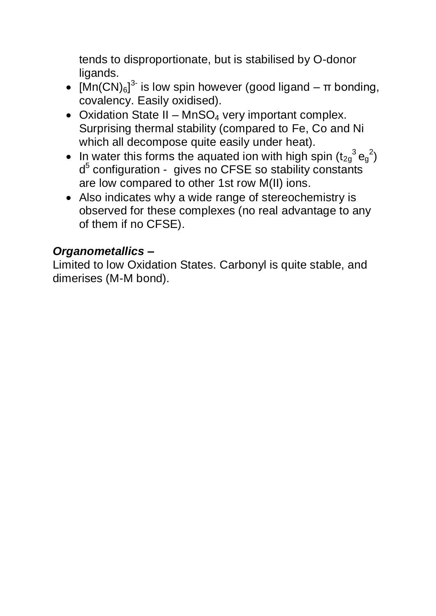tends to disproportionate, but is stabilised by O-donor ligands.

- $[Mn(CN)_{6}]^{3}$  is low spin however (good ligand  $\pi$  bonding, covalency. Easily oxidised).
- Oxidation State II MnSO<sub>4</sub> very important complex. Surprising thermal stability (compared to Fe, Co and Ni which all decompose quite easily under heat).
- In water this forms the aquated ion with high spin  $(t_{2g}^3e_g^2)$ d<sup>5</sup> configuration - gives no CFSE so stability constants are low compared to other 1st row M(II) ions.
- Also indicates why a wide range of stereochemistry is observed for these complexes (no real advantage to any of them if no CFSE).

### *Organometallics –*

Limited to low Oxidation States. Carbonyl is quite stable, and dimerises (M-M bond).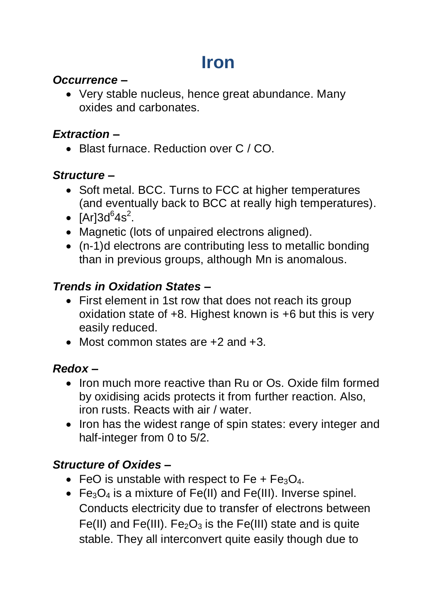# **Iron**

### *Occurrence –*

 Very stable nucleus, hence great abundance. Many oxides and carbonates.

#### *Extraction –*

• Blast furnace. Reduction over C / CO.

## *Structure –*

- Soft metal. BCC. Turns to FCC at higher temperatures (and eventually back to BCC at really high temperatures).
- [Ar] $3d^{6}4s^{2}$ .
- Magnetic (lots of unpaired electrons aligned).
- (n-1)d electrons are contributing less to metallic bonding than in previous groups, although Mn is anomalous.

# *Trends in Oxidation States –*

- First element in 1st row that does not reach its group oxidation state of +8. Highest known is +6 but this is very easily reduced.
- Most common states are +2 and +3.

# *Redox –*

- Iron much more reactive than Ru or Os. Oxide film formed by oxidising acids protects it from further reaction. Also, iron rusts. Reacts with air / water.
- Iron has the widest range of spin states: every integer and half-integer from 0 to 5/2.

# *Structure of Oxides –*

- FeO is unstable with respect to Fe +  $Fe<sub>3</sub>O<sub>4</sub>$ .
- $Fe<sub>3</sub>O<sub>4</sub>$  is a mixture of Fe(II) and Fe(III). Inverse spinel. Conducts electricity due to transfer of electrons between Fe(II) and Fe(III). Fe<sub>2</sub>O<sub>3</sub> is the Fe(III) state and is quite stable. They all interconvert quite easily though due to